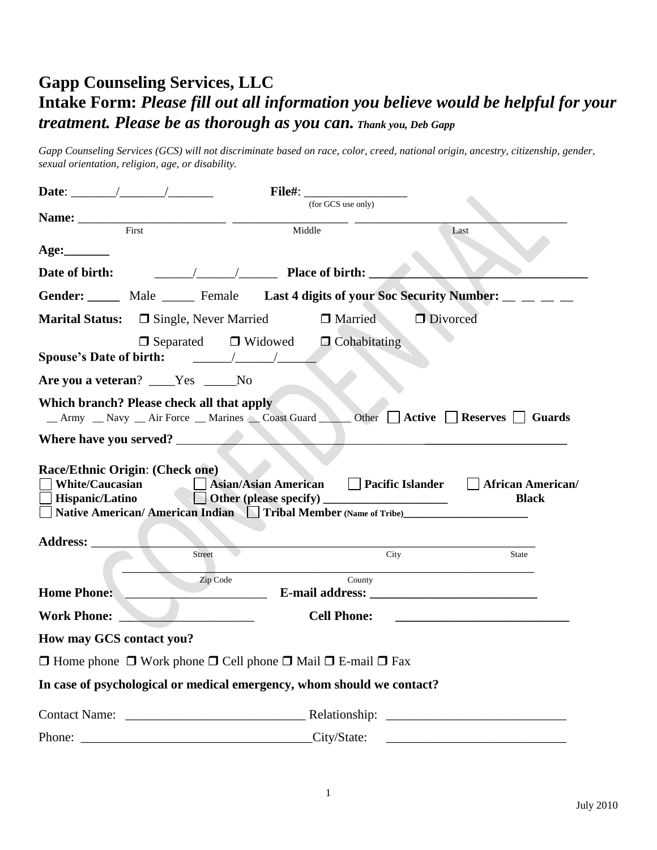# **Gapp Counseling Services, LLC Intake Form:** *Please fill out all information you believe would be helpful for your treatment. Please be as thorough as you can. Thank you, Deb Gapp*

*Gapp Counseling Services (GCS) will not discriminate based on race, color, creed, national origin, ancestry, citizenship, gender, sexual orientation, religion, age, or disability.*

| Date: $\qquad \qquad / \qquad \qquad / \qquad$                                                    | <b>File#:</b>                                                                                                                                                                                                                                                                                                                                                                                                                   |                                                           |
|---------------------------------------------------------------------------------------------------|---------------------------------------------------------------------------------------------------------------------------------------------------------------------------------------------------------------------------------------------------------------------------------------------------------------------------------------------------------------------------------------------------------------------------------|-----------------------------------------------------------|
|                                                                                                   | (for GCS use only)                                                                                                                                                                                                                                                                                                                                                                                                              |                                                           |
| First                                                                                             | Middle                                                                                                                                                                                                                                                                                                                                                                                                                          | Last                                                      |
|                                                                                                   |                                                                                                                                                                                                                                                                                                                                                                                                                                 |                                                           |
| Date of birth:                                                                                    | $\frac{1}{\sqrt{1-\frac{1}{2}}}\frac{1}{\sqrt{1-\frac{1}{2}}}\frac{1}{\sqrt{1-\frac{1}{2}}}\frac{1}{\sqrt{1-\frac{1}{2}}}\frac{1}{\sqrt{1-\frac{1}{2}}}\frac{1}{\sqrt{1-\frac{1}{2}}}\frac{1}{\sqrt{1-\frac{1}{2}}}\frac{1}{\sqrt{1-\frac{1}{2}}}\frac{1}{\sqrt{1-\frac{1}{2}}}\frac{1}{\sqrt{1-\frac{1}{2}}}\frac{1}{\sqrt{1-\frac{1}{2}}}\frac{1}{\sqrt{1-\frac{1}{2}}}\frac{1}{\sqrt{1-\frac{1}{2}}}\frac{1}{\sqrt{1-\frac{$ |                                                           |
|                                                                                                   | Gender: Male Male Female Last 4 digits of your Soc Security Number: __ __ _                                                                                                                                                                                                                                                                                                                                                     |                                                           |
| <b>Marital Status:</b> $\Box$ Single, Never Married                                               | Married                                                                                                                                                                                                                                                                                                                                                                                                                         | Divorced                                                  |
| Spouse's Date of birth: $\frac{\sqrt{1-\frac{1}{2}}}{\sqrt{1-\frac{1}{2}}}}$                      | $\Box$ Separated $\Box$ Widowed<br>$\Box$ Cohabitating                                                                                                                                                                                                                                                                                                                                                                          |                                                           |
| Are you a veteran? ____Yes _____No                                                                |                                                                                                                                                                                                                                                                                                                                                                                                                                 |                                                           |
| Which branch? Please check all that apply                                                         |                                                                                                                                                                                                                                                                                                                                                                                                                                 |                                                           |
| Where have you served?                                                                            |                                                                                                                                                                                                                                                                                                                                                                                                                                 |                                                           |
| Race/Ethnic Origin: (Check one)<br><b>White/Caucasian</b><br>Hispanic/Latino<br>Address: ________ | <b>Asian/Asian American</b><br>Native American/American Indian Tribal Member (Name of Tribe)                                                                                                                                                                                                                                                                                                                                    | <b>Pacific Islander</b> African American/<br><b>Black</b> |
| Street                                                                                            | City                                                                                                                                                                                                                                                                                                                                                                                                                            | State                                                     |
| <b>Home Phone:</b>                                                                                | Zip Code<br>County                                                                                                                                                                                                                                                                                                                                                                                                              |                                                           |
| <b>Work Phone:</b>                                                                                | <b>Cell Phone:</b><br><u> 1990 - Johann Barbara, martin a</u>                                                                                                                                                                                                                                                                                                                                                                   |                                                           |
| How may GCS contact you?                                                                          |                                                                                                                                                                                                                                                                                                                                                                                                                                 |                                                           |
|                                                                                                   | $\Box$ Home phone $\Box$ Work phone $\Box$ Cell phone $\Box$ Mail $\Box$ E-mail $\Box$ Fax                                                                                                                                                                                                                                                                                                                                      |                                                           |
|                                                                                                   | In case of psychological or medical emergency, whom should we contact?                                                                                                                                                                                                                                                                                                                                                          |                                                           |
|                                                                                                   |                                                                                                                                                                                                                                                                                                                                                                                                                                 |                                                           |
| Phone:                                                                                            | City/State:                                                                                                                                                                                                                                                                                                                                                                                                                     |                                                           |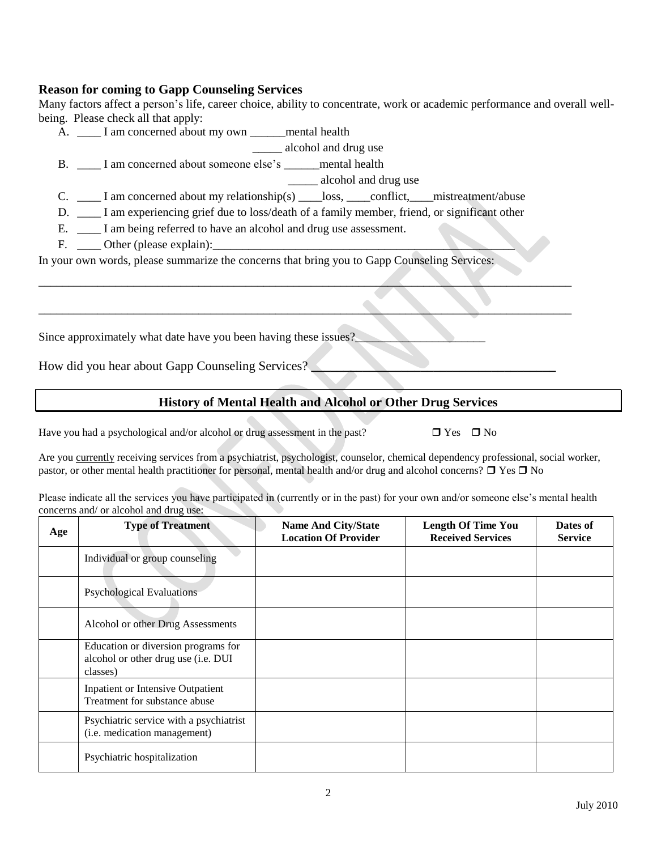#### **Reason for coming to Gapp Counseling Services**

Many factors affect a person's life, career choice, ability to concentrate, work or academic performance and overall wellbeing. Please check all that apply:

A. \_\_\_\_\_ I am concerned about my own \_\_\_\_\_\_mental health

\_\_\_\_\_ alcohol and drug use

B. \_\_\_\_ I am concerned about someone else's \_\_\_\_\_\_mental health

\_\_\_\_\_ alcohol and drug use

C. \_\_\_\_ I am concerned about my relationship(s) \_\_\_\_loss, \_\_\_\_conflict, \_\_\_mistreatment/abuse

D. \_\_\_\_ I am experiencing grief due to loss/death of a family member, friend, or significant other

 $\mathcal{L} = \{ \mathcal{L} \mid \mathcal{L} \mid \mathcal{L} \mid \mathcal{L} \mid \mathcal{L} \mid \mathcal{L} \mid \mathcal{L} \mid \mathcal{L} \mid \mathcal{L} \mid \mathcal{L} \mid \mathcal{L} \mid \mathcal{L} \mid \mathcal{L} \mid \mathcal{L} \mid \mathcal{L} \mid \mathcal{L} \mid \mathcal{L} \mid \mathcal{L} \mid \mathcal{L} \mid \mathcal{L} \mid \mathcal{L} \mid \mathcal{L} \mid \mathcal{L} \mid \mathcal{L} \mid \mathcal{L} \mid \mathcal{L} \mid \mathcal$ 

 $\mathcal{L}_\mathcal{L} = \mathcal{L}_\mathcal{L} = \mathcal{L}_\mathcal{L} = \mathcal{L}_\mathcal{L} = \mathcal{L}_\mathcal{L} = \mathcal{L}_\mathcal{L} = \mathcal{L}_\mathcal{L} = \mathcal{L}_\mathcal{L} = \mathcal{L}_\mathcal{L} = \mathcal{L}_\mathcal{L} = \mathcal{L}_\mathcal{L} = \mathcal{L}_\mathcal{L} = \mathcal{L}_\mathcal{L} = \mathcal{L}_\mathcal{L} = \mathcal{L}_\mathcal{L} = \mathcal{L}_\mathcal{L} = \mathcal{L}_\mathcal{L}$ 

E. \_\_\_\_\_ I am being referred to have an alcohol and drug use assessment.

F. \_\_\_\_\_\_ Other (please explain):

In your own words, please summarize the concerns that bring you to Gapp Counseling Services:

Since approximately what date have you been having these issues?

How did you hear about Gapp Counseling Services?

#### **History of Mental Health and Alcohol or Other Drug Services**

Have you had a psychological and/or alcohol or drug assessment in the past?  $\Box$  Yes  $\Box$  No

Are you currently receiving services from a psychiatrist, psychologist, counselor, chemical dependency professional, social worker, pastor, or other mental health practitioner for personal, mental health and/or drug and alcohol concerns?  $\Box$  Yes  $\Box$  No

Please indicate all the services you have participated in (currently or in the past) for your own and/or someone else's mental health concerns and/ or alcohol and drug use:

| Age | <b>Type of Treatment</b>                                                               | <b>Name And City/State</b><br><b>Location Of Provider</b> | <b>Length Of Time You</b><br><b>Received Services</b> | Dates of<br><b>Service</b> |
|-----|----------------------------------------------------------------------------------------|-----------------------------------------------------------|-------------------------------------------------------|----------------------------|
|     | Individual or group counseling                                                         |                                                           |                                                       |                            |
|     | <b>Psychological Evaluations</b>                                                       |                                                           |                                                       |                            |
|     | Alcohol or other Drug Assessments                                                      |                                                           |                                                       |                            |
|     | Education or diversion programs for<br>alcohol or other drug use (i.e. DUI<br>classes) |                                                           |                                                       |                            |
|     | <b>Inpatient or Intensive Outpatient</b><br>Treatment for substance abuse              |                                                           |                                                       |                            |
|     | Psychiatric service with a psychiatrist<br>(i.e. medication management)                |                                                           |                                                       |                            |
|     | Psychiatric hospitalization                                                            |                                                           |                                                       |                            |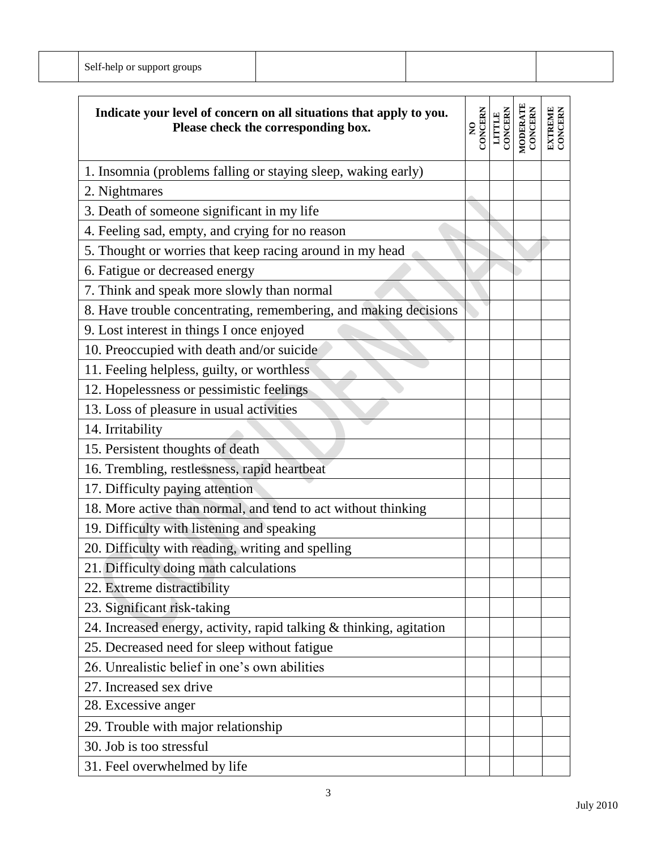| Sei<br>-nein                        |  |  |
|-------------------------------------|--|--|
| or support groups<br>$-0.11 - 0.00$ |  |  |

| Indicate your level of concern on all situations that apply to you.<br>Please check the corresponding box. | <b>CONCERN</b><br>$\tilde{\mathbf{z}}$ | CONCERN<br>LITTLE | MODERATE<br>CONCERN | <b>EXTREME</b><br>CONCERN |
|------------------------------------------------------------------------------------------------------------|----------------------------------------|-------------------|---------------------|---------------------------|
| 1. Insomnia (problems falling or staying sleep, waking early)                                              |                                        |                   |                     |                           |
| 2. Nightmares                                                                                              |                                        |                   |                     |                           |
| 3. Death of someone significant in my life                                                                 |                                        |                   |                     |                           |
| 4. Feeling sad, empty, and crying for no reason                                                            |                                        |                   |                     |                           |
| 5. Thought or worries that keep racing around in my head                                                   |                                        |                   |                     |                           |
| 6. Fatigue or decreased energy                                                                             |                                        |                   |                     |                           |
| 7. Think and speak more slowly than normal                                                                 |                                        |                   |                     |                           |
| 8. Have trouble concentrating, remembering, and making decisions                                           |                                        |                   |                     |                           |
| 9. Lost interest in things I once enjoyed                                                                  |                                        |                   |                     |                           |
| 10. Preoccupied with death and/or suicide                                                                  |                                        |                   |                     |                           |
| 11. Feeling helpless, guilty, or worthless                                                                 |                                        |                   |                     |                           |
| 12. Hopelessness or pessimistic feelings                                                                   |                                        |                   |                     |                           |
| 13. Loss of pleasure in usual activities                                                                   |                                        |                   |                     |                           |
| 14. Irritability                                                                                           |                                        |                   |                     |                           |
| 15. Persistent thoughts of death                                                                           |                                        |                   |                     |                           |
| 16. Trembling, restlessness, rapid heartbeat                                                               |                                        |                   |                     |                           |
| 17. Difficulty paying attention                                                                            |                                        |                   |                     |                           |
| 18. More active than normal, and tend to act without thinking                                              |                                        |                   |                     |                           |
| 19. Difficulty with listening and speaking                                                                 |                                        |                   |                     |                           |
| 20. Difficulty with reading, writing and spelling                                                          |                                        |                   |                     |                           |
| 21. Difficulty doing math calculations                                                                     |                                        |                   |                     |                           |
| 22. Extreme distractibility                                                                                |                                        |                   |                     |                           |
| 23. Significant risk-taking                                                                                |                                        |                   |                     |                           |
| 24. Increased energy, activity, rapid talking & thinking, agitation                                        |                                        |                   |                     |                           |
| 25. Decreased need for sleep without fatigue                                                               |                                        |                   |                     |                           |
| 26. Unrealistic belief in one's own abilities                                                              |                                        |                   |                     |                           |
| 27. Increased sex drive                                                                                    |                                        |                   |                     |                           |
| 28. Excessive anger                                                                                        |                                        |                   |                     |                           |
| 29. Trouble with major relationship                                                                        |                                        |                   |                     |                           |
| 30. Job is too stressful                                                                                   |                                        |                   |                     |                           |
| 31. Feel overwhelmed by life                                                                               |                                        |                   |                     |                           |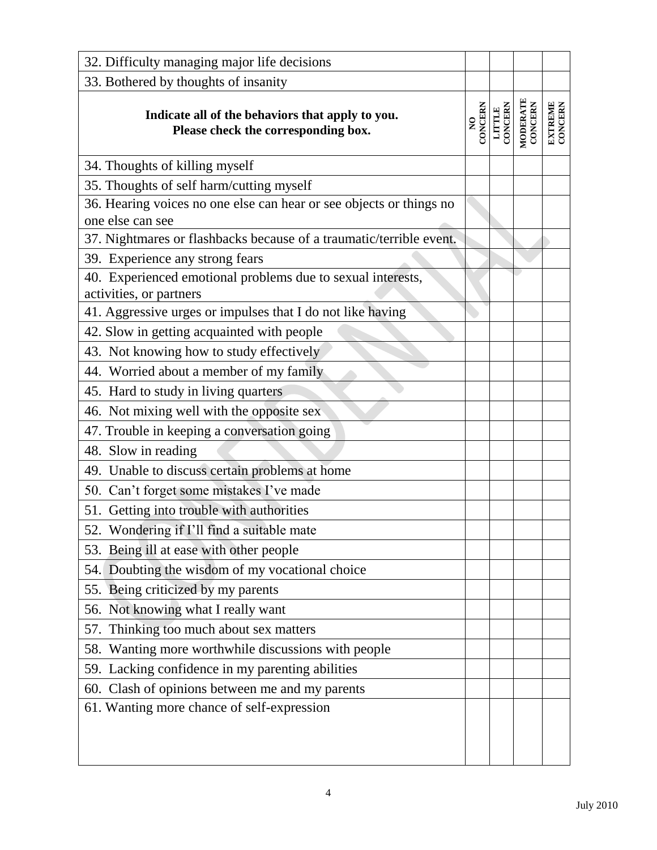| 32. Difficulty managing major life decisions                                            |                                           |                   |                     |                           |
|-----------------------------------------------------------------------------------------|-------------------------------------------|-------------------|---------------------|---------------------------|
| 33. Bothered by thoughts of insanity                                                    |                                           |                   |                     |                           |
| Indicate all of the behaviors that apply to you.<br>Please check the corresponding box. | <b>CONCERN</b><br>$\overline{\mathbf{z}}$ | LITTLE<br>CONCERN | MODERATE<br>CONCERN | <b>EXTREME</b><br>CONCERN |
| 34. Thoughts of killing myself                                                          |                                           |                   |                     |                           |
| 35. Thoughts of self harm/cutting myself                                                |                                           |                   |                     |                           |
| 36. Hearing voices no one else can hear or see objects or things no<br>one else can see |                                           |                   |                     |                           |
| 37. Nightmares or flashbacks because of a traumatic/terrible event.                     |                                           |                   |                     |                           |
| 39. Experience any strong fears                                                         |                                           |                   |                     |                           |
| 40. Experienced emotional problems due to sexual interests,<br>activities, or partners  |                                           |                   |                     |                           |
| 41. Aggressive urges or impulses that I do not like having                              |                                           |                   |                     |                           |
| 42. Slow in getting acquainted with people                                              |                                           |                   |                     |                           |
| 43. Not knowing how to study effectively                                                |                                           |                   |                     |                           |
| 44. Worried about a member of my family                                                 |                                           |                   |                     |                           |
| 45. Hard to study in living quarters                                                    |                                           |                   |                     |                           |
| 46. Not mixing well with the opposite sex                                               |                                           |                   |                     |                           |
| 47. Trouble in keeping a conversation going                                             |                                           |                   |                     |                           |
| 48. Slow in reading                                                                     |                                           |                   |                     |                           |
| 49. Unable to discuss certain problems at home                                          |                                           |                   |                     |                           |
| 50. Can't forget some mistakes I've made                                                |                                           |                   |                     |                           |
| 51. Getting into trouble with authorities                                               |                                           |                   |                     |                           |
| 52. Wondering if I'll find a suitable mate                                              |                                           |                   |                     |                           |
| 53. Being ill at ease with other people                                                 |                                           |                   |                     |                           |
| 54. Doubting the wisdom of my vocational choice                                         |                                           |                   |                     |                           |
| 55. Being criticized by my parents                                                      |                                           |                   |                     |                           |
| 56. Not knowing what I really want                                                      |                                           |                   |                     |                           |
| 57. Thinking too much about sex matters                                                 |                                           |                   |                     |                           |
| 58. Wanting more worthwhile discussions with people                                     |                                           |                   |                     |                           |
| 59. Lacking confidence in my parenting abilities                                        |                                           |                   |                     |                           |
| 60. Clash of opinions between me and my parents                                         |                                           |                   |                     |                           |
| 61. Wanting more chance of self-expression                                              |                                           |                   |                     |                           |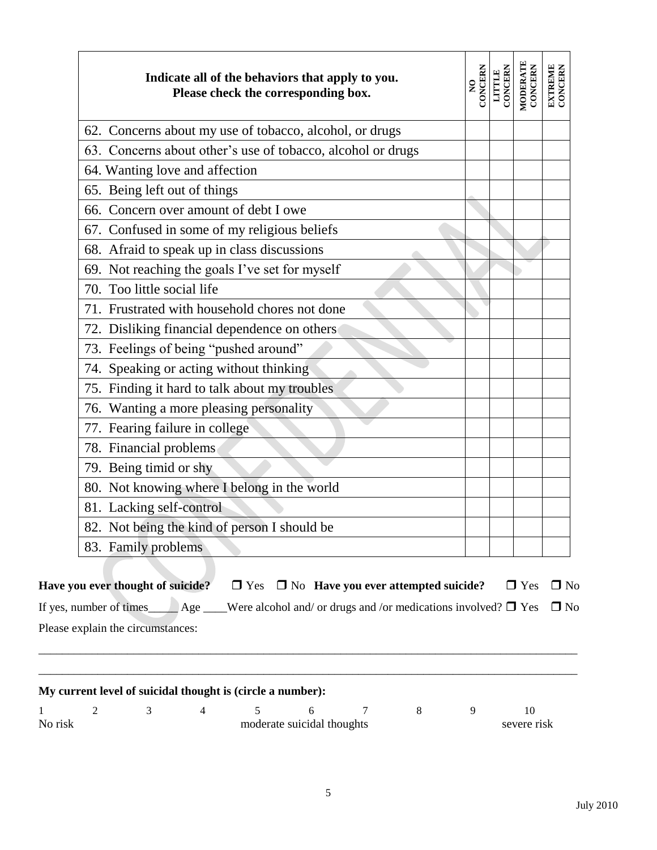| Indicate all of the behaviors that apply to you.<br>Please check the corresponding box. | CONCERN<br>$\frac{1}{2}$ | CONCERN<br><b>LITTLE</b> | MODERATE<br>CONCERN | <b>EXTREME</b><br>CONCERN |
|-----------------------------------------------------------------------------------------|--------------------------|--------------------------|---------------------|---------------------------|
| 62. Concerns about my use of tobacco, alcohol, or drugs                                 |                          |                          |                     |                           |
| 63. Concerns about other's use of tobacco, alcohol or drugs                             |                          |                          |                     |                           |
| 64. Wanting love and affection                                                          |                          |                          |                     |                           |
| 65. Being left out of things                                                            |                          |                          |                     |                           |
| 66. Concern over amount of debt I owe                                                   |                          |                          |                     |                           |
| 67. Confused in some of my religious beliefs                                            |                          |                          |                     |                           |
| 68. Afraid to speak up in class discussions                                             |                          |                          |                     |                           |
| 69. Not reaching the goals I've set for myself                                          |                          |                          |                     |                           |
| 70. Too little social life                                                              |                          |                          |                     |                           |
| 71. Frustrated with household chores not done                                           |                          |                          |                     |                           |
| 72. Disliking financial dependence on others                                            |                          |                          |                     |                           |
| 73. Feelings of being "pushed around"                                                   |                          |                          |                     |                           |
| 74. Speaking or acting without thinking                                                 |                          |                          |                     |                           |
| 75. Finding it hard to talk about my troubles                                           |                          |                          |                     |                           |
| 76. Wanting a more pleasing personality                                                 |                          |                          |                     |                           |
| 77. Fearing failure in college                                                          |                          |                          |                     |                           |
| 78. Financial problems                                                                  |                          |                          |                     |                           |
| 79. Being timid or shy                                                                  |                          |                          |                     |                           |
| 80. Not knowing where I belong in the world                                             |                          |                          |                     |                           |
| 81. Lacking self-control                                                                |                          |                          |                     |                           |
| 82. Not being the kind of person I should be                                            |                          |                          |                     |                           |
| 83. Family problems                                                                     |                          |                          |                     |                           |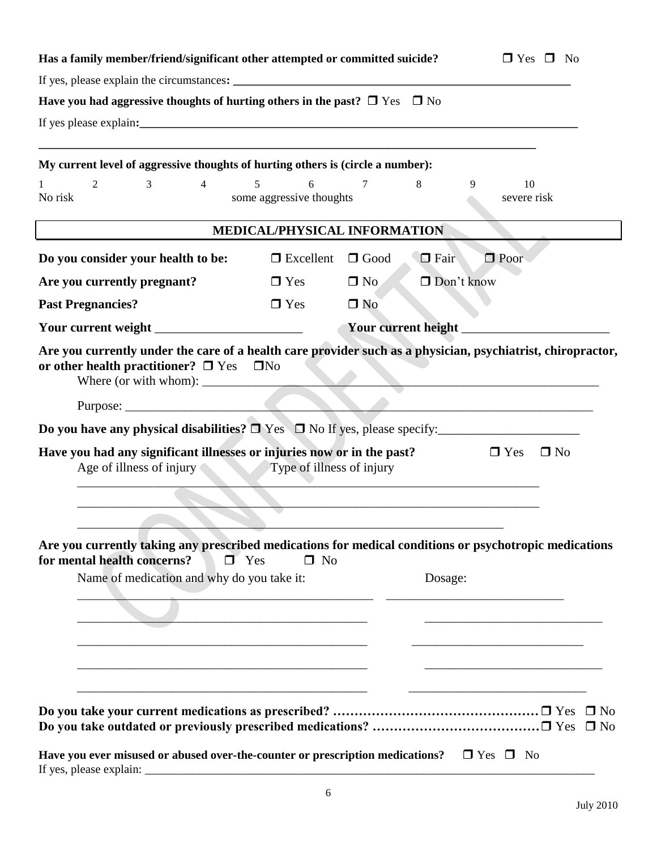| Have you had aggressive thoughts of hurting others in the past? $\Box$ Yes $\Box$ No                     |                                                                                                                                   |
|----------------------------------------------------------------------------------------------------------|-----------------------------------------------------------------------------------------------------------------------------------|
|                                                                                                          |                                                                                                                                   |
|                                                                                                          |                                                                                                                                   |
|                                                                                                          |                                                                                                                                   |
| My current level of aggressive thoughts of hurting others is (circle a number):                          |                                                                                                                                   |
| 2<br>3<br>$\overline{4}$<br>6<br>5<br>No risk<br>some aggressive thoughts                                | 8<br>$\tau$<br>10<br>9<br>severe risk                                                                                             |
|                                                                                                          | MEDICAL/PHYSICAL INFORMATION                                                                                                      |
| $\Box$ Excellent<br>Do you consider your health to be:                                                   | $\Box$ Good<br>$\Box$ Poor<br>$\Box$ Fair                                                                                         |
| Are you currently pregnant?<br>$\Box$ Yes                                                                | Don't know<br>$\Box$ No                                                                                                           |
| <b>Past Pregnancies?</b><br>$\Box$ Yes                                                                   | $\Box$ No                                                                                                                         |
|                                                                                                          |                                                                                                                                   |
| or other health practitioner? $\Box$ Yes $\Box$ No<br>Where (or with whom):                              | <u> 1989 - Johann Barbara, martxa alemaniar argumento de la contrada de la contrada de la contrada de la contrad</u>              |
|                                                                                                          |                                                                                                                                   |
| Do you have any physical disabilities? $\Box$ Yes $\Box$ No If yes, please specify:                      |                                                                                                                                   |
| Have you had any significant illnesses or injuries now or in the past?<br>Age of illness of injury       | $\Box$ No<br>$\Box$ Yes<br>Type of illness of injury                                                                              |
| for mental health concerns?<br>$\Box$ Yes<br>Name of medication and why do you take it:                  | Are you currently taking any prescribed medications for medical conditions or psychotropic medications<br>$\square$ No<br>Dosage: |
| Have you ever misused or abused over-the-counter or prescription medications? $\square$ Yes $\square$ No | Do you take outdated or previously prescribed medications? □ Yes □ No                                                             |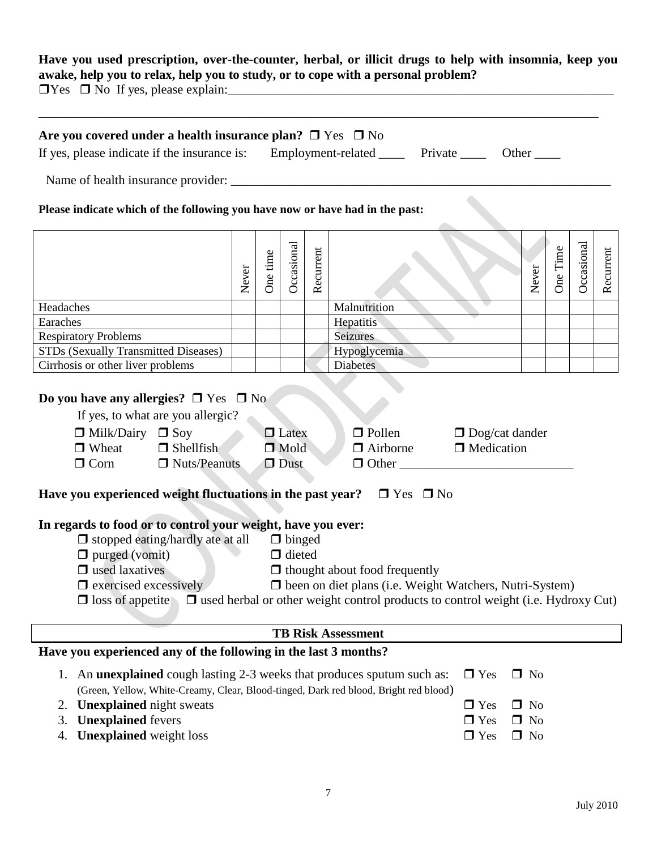#### **Have you used prescription, over-the-counter, herbal, or illicit drugs to help with insomnia, keep you awake, help you to relax, help you to study, or to cope with a personal problem?**

| Are you covered under a health insurance plan? $\Box$ Yes $\Box$ No                                                                                                                                                                |       |          |                                               |           |                                                                                                                                                                                                    |              |       |          |            |           |
|------------------------------------------------------------------------------------------------------------------------------------------------------------------------------------------------------------------------------------|-------|----------|-----------------------------------------------|-----------|----------------------------------------------------------------------------------------------------------------------------------------------------------------------------------------------------|--------------|-------|----------|------------|-----------|
| If yes, please indicate if the insurance is: Employment-related _____ Private _____ Other ____                                                                                                                                     |       |          |                                               |           |                                                                                                                                                                                                    |              |       |          |            |           |
|                                                                                                                                                                                                                                    |       |          |                                               |           |                                                                                                                                                                                                    |              |       |          |            |           |
| Please indicate which of the following you have now or have had in the past:                                                                                                                                                       |       |          |                                               |           |                                                                                                                                                                                                    |              |       |          |            |           |
|                                                                                                                                                                                                                                    | Never | One time | Occasional                                    | Recurrent |                                                                                                                                                                                                    |              | Never | One Time | Occasional | Recurrent |
| Headaches                                                                                                                                                                                                                          |       |          |                                               |           | Malnutrition                                                                                                                                                                                       |              |       |          |            |           |
| Earaches                                                                                                                                                                                                                           |       |          |                                               |           | Hepatitis                                                                                                                                                                                          |              |       |          |            |           |
| <b>Respiratory Problems</b>                                                                                                                                                                                                        |       |          |                                               |           | Seizures                                                                                                                                                                                           |              |       |          |            |           |
| STDs (Sexually Transmitted Diseases)                                                                                                                                                                                               |       |          |                                               |           | Hypoglycemia                                                                                                                                                                                       |              |       |          |            |           |
| Cirrhosis or other liver problems                                                                                                                                                                                                  |       |          |                                               |           | <b>Diabetes</b>                                                                                                                                                                                    |              |       |          |            |           |
| Do you have any allergies? $\square$ Yes $\square$ No<br>If yes, to what are you allergic?<br>$\Box$ Milk/Dairy $\Box$ Soy<br>$\Box$ Wheat<br>$\Box$ Shellfish<br>$\Box$ Corn<br>$\Box$ Nuts/Peanuts                               |       |          | $\Box$ Latex<br>$\Box$ Mold<br>$\square$ Dust |           | $\Box$ Pollen $\Box$ Dog/cat dander<br>$\Box$ Airborne<br>$\Box$ Other                                                                                                                             | □ Medication |       |          |            |           |
| Have you experienced weight fluctuations in the past year? $\Box$ Yes $\Box$ No                                                                                                                                                    |       |          |                                               |           |                                                                                                                                                                                                    |              |       |          |            |           |
| In regards to food or to control your weight, have you ever:<br>$\Box$ stopped eating/hardly ate at all $\Box$ binged<br>$\Box$ purged (vomit)<br>$\Box$ used laxatives<br>$\Box$ exercised excessively<br>$\Box$ loss of appetite |       |          | $\Box$ dieted                                 |           | $\Box$ thought about food frequently<br>$\Box$ been on diet plans (i.e. Weight Watchers, Nutri-System)<br>$\Box$ used herbal or other weight control products to control weight (i.e. Hydroxy Cut) |              |       |          |            |           |
|                                                                                                                                                                                                                                    |       |          |                                               |           | <b>TB Risk Assessment</b>                                                                                                                                                                          |              |       |          |            |           |
|                                                                                                                                                                                                                                    |       |          |                                               |           |                                                                                                                                                                                                    |              |       |          |            |           |
| Have you experienced any of the following in the last 3 months?                                                                                                                                                                    |       |          |                                               |           |                                                                                                                                                                                                    |              |       |          |            |           |

- 
- 3. **Unexplained** fevers  $\Box$  Yes  $\Box$  No<br>4. **Unexplained** weight loss  $\Box$  Yes  $\Box$  No 4. **Unexplained** weight loss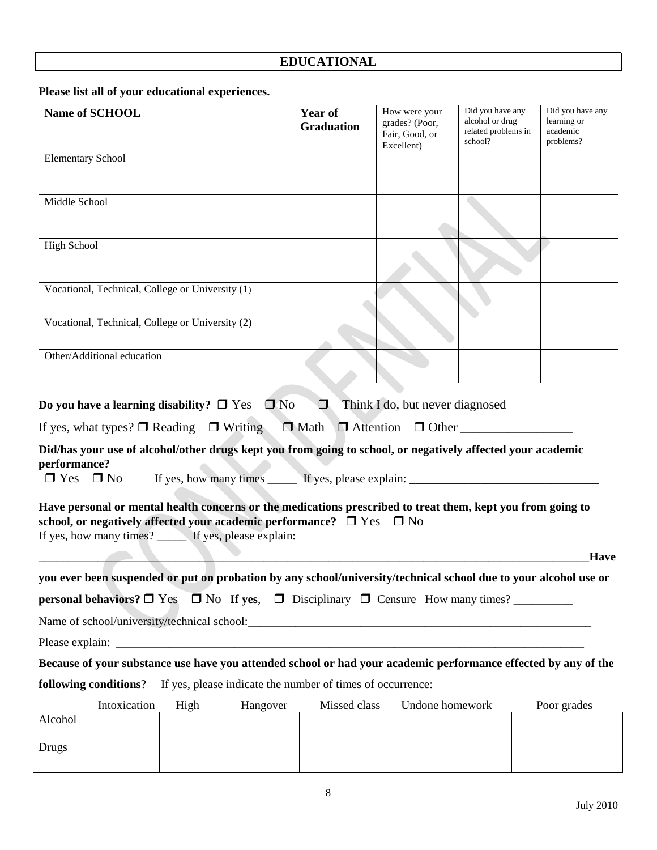# **EDUCATIONAL**

**Please list all of your educational experiences.**

|                                      | Name of SCHOOL             |                                                  |                                                                                | Year of           | How were your                                                                                                    | Did you have any                                  | Did you have any                     |
|--------------------------------------|----------------------------|--------------------------------------------------|--------------------------------------------------------------------------------|-------------------|------------------------------------------------------------------------------------------------------------------|---------------------------------------------------|--------------------------------------|
|                                      |                            |                                                  |                                                                                | <b>Graduation</b> | grades? (Poor,<br>Fair, Good, or                                                                                 | alcohol or drug<br>related problems in<br>school? | learning or<br>academic<br>problems? |
| <b>Elementary School</b>             |                            |                                                  |                                                                                |                   | Excellent)                                                                                                       |                                                   |                                      |
|                                      |                            |                                                  |                                                                                |                   |                                                                                                                  |                                                   |                                      |
| Middle School                        |                            |                                                  |                                                                                |                   |                                                                                                                  |                                                   |                                      |
|                                      |                            |                                                  |                                                                                |                   |                                                                                                                  |                                                   |                                      |
| <b>High School</b>                   |                            |                                                  |                                                                                |                   |                                                                                                                  |                                                   |                                      |
|                                      |                            |                                                  |                                                                                |                   |                                                                                                                  |                                                   |                                      |
|                                      |                            | Vocational, Technical, College or University (1) |                                                                                |                   |                                                                                                                  |                                                   |                                      |
|                                      |                            | Vocational, Technical, College or University (2) |                                                                                |                   |                                                                                                                  |                                                   |                                      |
|                                      |                            |                                                  |                                                                                |                   |                                                                                                                  |                                                   |                                      |
|                                      | Other/Additional education |                                                  |                                                                                |                   |                                                                                                                  |                                                   |                                      |
|                                      |                            |                                                  |                                                                                |                   |                                                                                                                  |                                                   |                                      |
|                                      |                            |                                                  | Do you have a learning disability? $\Box$ Yes $\Box$ No                        | $\Box$            | Think I do, but never diagnosed                                                                                  |                                                   |                                      |
|                                      |                            |                                                  |                                                                                |                   | If yes, what types? $\Box$ Reading $\Box$ Writing $\Box$ Math $\Box$ Attention $\Box$ Other                      |                                                   |                                      |
| performance?<br>$\Box$ Yes $\Box$ No |                            |                                                  |                                                                                |                   | Did/has your use of alcohol/other drugs kept you from going to school, or negatively affected your academic      |                                                   |                                      |
|                                      |                            |                                                  |                                                                                |                   |                                                                                                                  |                                                   |                                      |
|                                      |                            |                                                  | school, or negatively affected your academic performance? $\Box$ Yes $\Box$ No |                   | Have personal or mental health concerns or the medications prescribed to treat them, kept you from going to      |                                                   |                                      |
|                                      |                            |                                                  | If yes, how many times? If yes, please explain:                                |                   |                                                                                                                  |                                                   |                                      |
|                                      |                            |                                                  |                                                                                |                   |                                                                                                                  |                                                   | Have                                 |
|                                      |                            |                                                  |                                                                                |                   | you ever been suspended or put on probation by any school/university/technical school due to your alcohol use or |                                                   |                                      |
|                                      |                            |                                                  |                                                                                |                   | <b>personal behaviors?</b> $\Box$ Yes $\Box$ No If yes, $\Box$ Disciplinary $\Box$ Censure How many times?       |                                                   |                                      |
|                                      |                            |                                                  |                                                                                |                   |                                                                                                                  |                                                   |                                      |
|                                      |                            |                                                  |                                                                                |                   |                                                                                                                  |                                                   |                                      |
|                                      |                            |                                                  |                                                                                |                   | Because of your substance use have you attended school or had your academic performance effected by any of the   |                                                   |                                      |
|                                      | following conditions?      |                                                  | If yes, please indicate the number of times of occurrence:                     |                   |                                                                                                                  |                                                   |                                      |
|                                      | Intoxication               | High                                             | Hangover                                                                       | Missed class      | Undone homework                                                                                                  |                                                   | Poor grades                          |
| Alcohol                              |                            |                                                  |                                                                                |                   |                                                                                                                  |                                                   |                                      |
| <b>Drugs</b>                         |                            |                                                  |                                                                                |                   |                                                                                                                  |                                                   |                                      |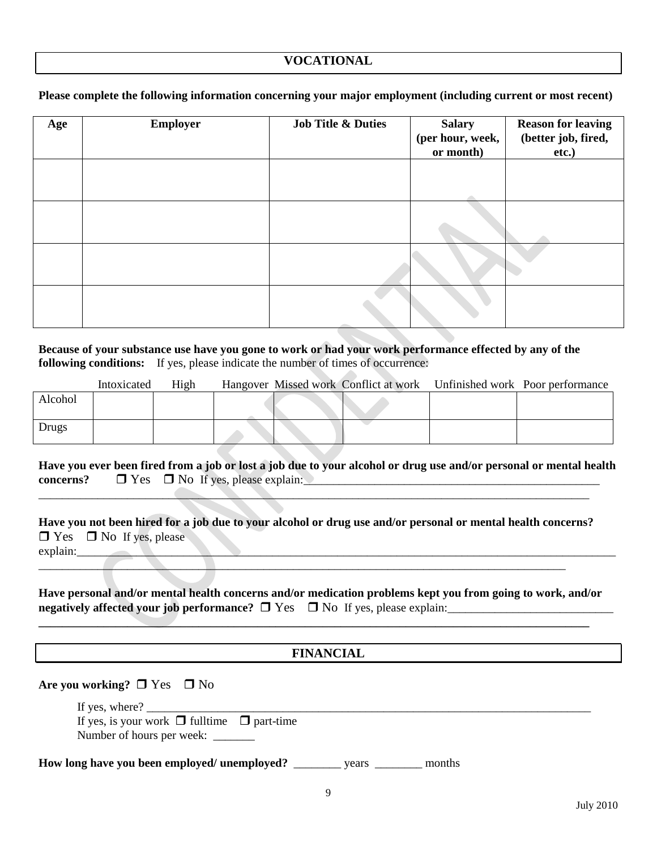**Please complete the following information concerning your major employment (including current or most recent)** 

| Age | <b>Employer</b> | <b>Job Title &amp; Duties</b> | <b>Salary</b><br>(per hour, week,<br>or month) | <b>Reason for leaving</b><br>(better job, fired,<br>etc.) |
|-----|-----------------|-------------------------------|------------------------------------------------|-----------------------------------------------------------|
|     |                 |                               |                                                |                                                           |
|     |                 |                               |                                                |                                                           |
|     |                 |                               |                                                |                                                           |
|     |                 |                               |                                                |                                                           |

**Because of your substance use have you gone to work or had your work performance effected by any of the following conditions:** If yes, please indicate the number of times of occurrence: Ī

|         | Intoxicated | High |  |  | Hangover Missed work Conflict at work Unfinished work Poor performance |
|---------|-------------|------|--|--|------------------------------------------------------------------------|
| Alcohol |             |      |  |  |                                                                        |
|         |             |      |  |  |                                                                        |
| Drugs   |             |      |  |  |                                                                        |

**Have you ever been fired from a job or lost a job due to your alcohol or drug use and/or personal or mental health**  concerns?  $\Box$  Yes  $\Box$  No If yes, please explain:

**Have you not been hired for a job due to your alcohol or drug use and/or personal or mental health concerns?**  $\Box$  Yes  $\Box$  No If yes, please explain:

\_\_\_\_\_\_\_\_\_\_\_\_\_\_\_\_\_\_\_\_\_\_\_\_\_\_\_\_\_\_\_\_\_\_\_\_\_\_\_\_\_\_\_\_\_\_\_\_\_\_\_\_\_\_\_\_\_\_\_\_\_\_\_\_\_\_\_\_\_\_\_\_\_\_\_\_\_\_\_\_\_\_\_\_\_\_\_\_\_

 $\_\_$ 

**Have personal and/or mental health concerns and/or medication problems kept you from going to work, and/or negatively affected your job performance?**  $\Box$  Yes  $\Box$  No If yes, please explain:

**\_\_\_\_\_\_\_\_\_\_\_\_\_\_\_\_\_\_\_\_\_\_\_\_\_\_\_\_\_\_\_\_\_\_\_\_\_\_\_\_\_\_\_\_\_\_\_\_\_\_\_\_\_\_\_\_\_\_\_\_\_\_\_\_\_\_\_\_\_\_\_\_\_\_\_\_\_\_\_\_\_\_\_\_\_\_\_\_\_\_\_\_\_**

| <b>FINANCIAL</b>                                                                         |
|------------------------------------------------------------------------------------------|
| Are you working? $\square$ Yes $\square$ No<br>If yes, where? $\qquad \qquad$            |
| If yes, is your work $\Box$ fulltime $\Box$ part-time<br>Number of hours per week:       |
| <b>How long have you been employed/ unemployed?</b> ____________ years __________ months |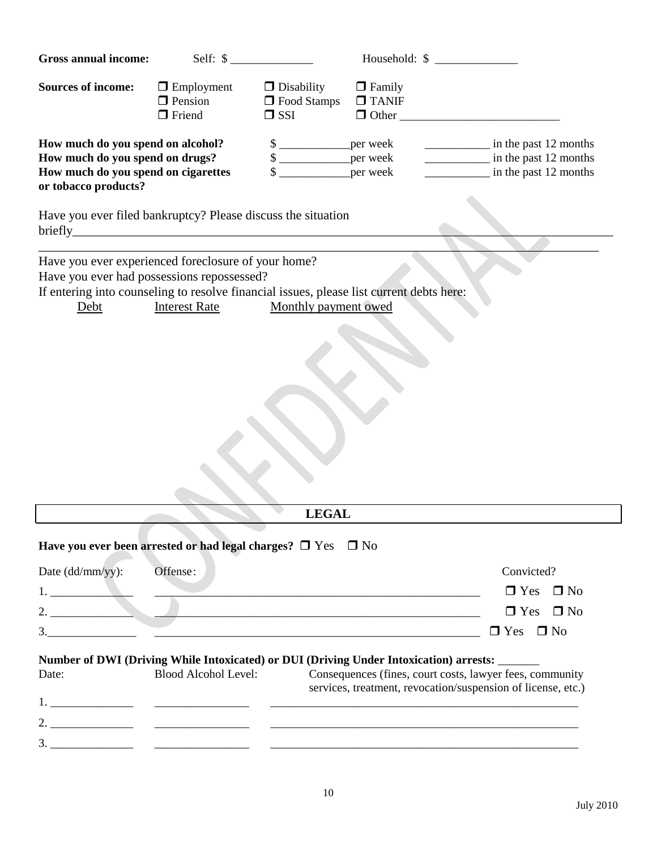| <b>Gross annual income:</b>                                                                                                                                                                             | Self: $\frac{1}{2}$                                  |                                                              | Household: \$                                                                                                            |                                                                                                                                                                                                                                                                                                                                                                                                                                                                                                                                          |                                                  |           |
|---------------------------------------------------------------------------------------------------------------------------------------------------------------------------------------------------------|------------------------------------------------------|--------------------------------------------------------------|--------------------------------------------------------------------------------------------------------------------------|------------------------------------------------------------------------------------------------------------------------------------------------------------------------------------------------------------------------------------------------------------------------------------------------------------------------------------------------------------------------------------------------------------------------------------------------------------------------------------------------------------------------------------------|--------------------------------------------------|-----------|
| <b>Sources of income:</b>                                                                                                                                                                               | $\Box$ Employment<br>$\Box$ Pension<br>$\Box$ Friend | $\Box$ Disability<br>□ Food Stamps<br>$\Box$ SSI             | $\Box$ Family<br>$\Box$ TANIF<br>$\Box$ Other                                                                            |                                                                                                                                                                                                                                                                                                                                                                                                                                                                                                                                          |                                                  |           |
| How much do you spend on alcohol?<br>How much do you spend on drugs?<br>How much do you spend on cigarettes<br>or tobacco products?                                                                     |                                                      | $\frac{\text{S}}{\text{S}}$<br>$\frac{1}{2}$<br>$\mathbb{S}$ | per week<br>per week<br>_per week                                                                                        | $\begin{array}{cccccccccc} \multicolumn{2}{c}{} & \multicolumn{2}{c}{} & \multicolumn{2}{c}{} & \multicolumn{2}{c}{} & \multicolumn{2}{c}{} & \multicolumn{2}{c}{} & \multicolumn{2}{c}{} & \multicolumn{2}{c}{} & \multicolumn{2}{c}{} & \multicolumn{2}{c}{} & \multicolumn{2}{c}{} & \multicolumn{2}{c}{} & \multicolumn{2}{c}{} & \multicolumn{2}{c}{} & \multicolumn{2}{c}{} & \multicolumn{2}{c}{} & \multicolumn{2}{c}{} & \multicolumn{2}{c}{} & \multicolumn{2}{c}{} & \mult$<br>in the past 12 months<br>in the past 12 months | in the past 12 months                            |           |
| Have you ever filed bankruptcy? Please discuss the situation                                                                                                                                            |                                                      |                                                              |                                                                                                                          |                                                                                                                                                                                                                                                                                                                                                                                                                                                                                                                                          |                                                  |           |
| Have you ever experienced foreclosure of your home?<br>Have you ever had possessions repossessed?<br>If entering into counseling to resolve financial issues, please list current debts here:<br>Debt   | <b>Interest Rate</b>                                 | Monthly payment owed                                         |                                                                                                                          |                                                                                                                                                                                                                                                                                                                                                                                                                                                                                                                                          |                                                  |           |
|                                                                                                                                                                                                         |                                                      | <b>LEGAL</b>                                                 |                                                                                                                          |                                                                                                                                                                                                                                                                                                                                                                                                                                                                                                                                          |                                                  |           |
| Have you ever been arrested or had legal charges? $\square$ Yes $\square$ No<br>Date (dd/mm/yy):<br>$\begin{tabular}{ c c c c } \hline \quad \quad & \quad \quad & \quad \quad \\ \hline \end{tabular}$ | Offense:                                             |                                                              |                                                                                                                          |                                                                                                                                                                                                                                                                                                                                                                                                                                                                                                                                          | Convicted?<br>$\Box$ Yes<br>$\Box$ Yes $\Box$ No | $\Box$ No |
| Number of DWI (Driving While Intoxicated) or DUI (Driving Under Intoxication) arrests: ______<br>Date:                                                                                                  | <b>Blood Alcohol Level:</b>                          |                                                              | Consequences (fines, court costs, lawyer fees, community<br>services, treatment, revocation/suspension of license, etc.) |                                                                                                                                                                                                                                                                                                                                                                                                                                                                                                                                          | $\Box$ Yes $\Box$ No                             |           |
|                                                                                                                                                                                                         |                                                      |                                                              |                                                                                                                          |                                                                                                                                                                                                                                                                                                                                                                                                                                                                                                                                          |                                                  |           |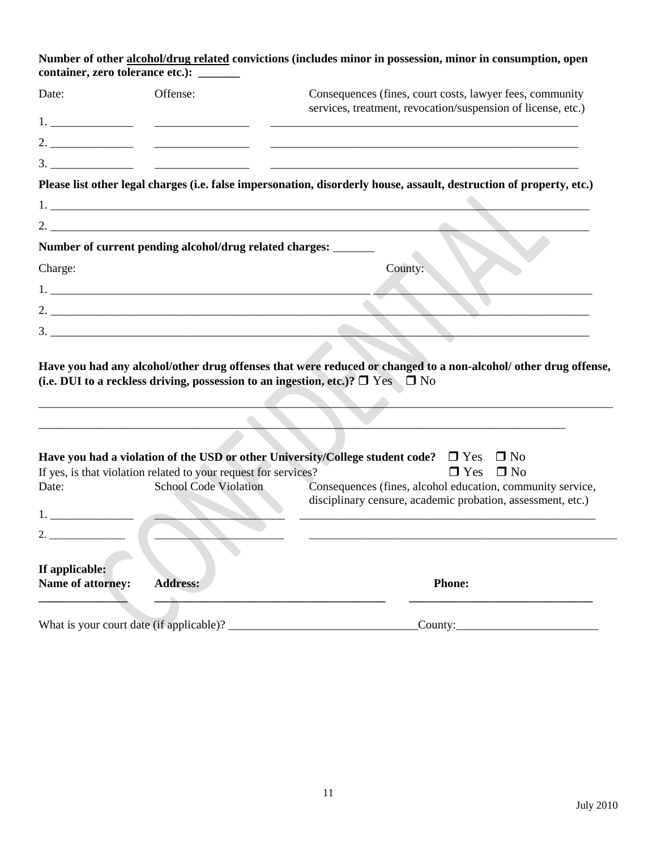| container, zero tolerance etc.):         |                                                                 | Number of other alcohol/drug related convictions (includes minor in possession, minor in consumption, open                                                                                        |
|------------------------------------------|-----------------------------------------------------------------|---------------------------------------------------------------------------------------------------------------------------------------------------------------------------------------------------|
| Date:                                    | Offense:                                                        | Consequences (fines, court costs, lawyer fees, community                                                                                                                                          |
|                                          |                                                                 | services, treatment, revocation/suspension of license, etc.)                                                                                                                                      |
|                                          |                                                                 |                                                                                                                                                                                                   |
|                                          |                                                                 |                                                                                                                                                                                                   |
|                                          |                                                                 | Please list other legal charges (i.e. false impersonation, disorderly house, assault, destruction of property, etc.)                                                                              |
|                                          |                                                                 |                                                                                                                                                                                                   |
|                                          |                                                                 |                                                                                                                                                                                                   |
|                                          | Number of current pending alcohol/drug related charges: ______  |                                                                                                                                                                                                   |
| Charge:                                  |                                                                 | County:                                                                                                                                                                                           |
|                                          |                                                                 |                                                                                                                                                                                                   |
|                                          |                                                                 |                                                                                                                                                                                                   |
|                                          |                                                                 |                                                                                                                                                                                                   |
|                                          |                                                                 | (i.e. DUI to a reckless driving, possession to an ingestion, etc.)? $\Box$ Yes $\Box$ No<br>Have you had a violation of the USD or other University/College student code? $\Box$ Yes<br>$\Box$ No |
|                                          | If yes, is that violation related to your request for services? | $\square$ No<br>$\Box$ Yes                                                                                                                                                                        |
| Date:                                    | <b>School Code Violation</b>                                    | Consequences (fines, alcohol education, community service,<br>disciplinary censure, academic probation, assessment, etc.)                                                                         |
|                                          |                                                                 |                                                                                                                                                                                                   |
| っ                                        |                                                                 |                                                                                                                                                                                                   |
| If applicable:<br>Name of attorney:      | <b>Address:</b>                                                 | <b>Phone:</b>                                                                                                                                                                                     |
| What is your court date (if applicable)? |                                                                 | $\text{Country:}\_\$                                                                                                                                                                              |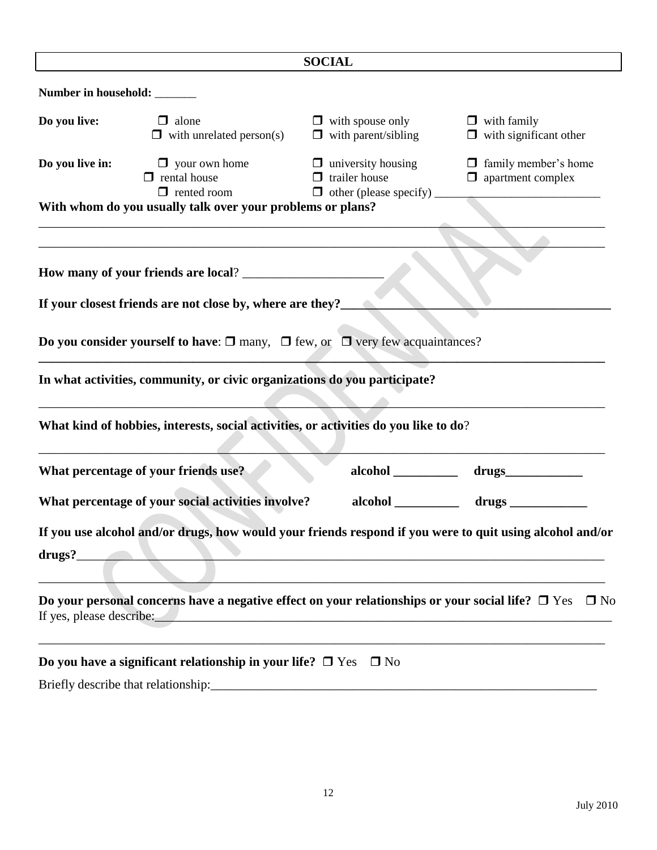|                              |                                                                                                                                                                                                                                   | <b>SOCIAL</b>                                                                                                         |                                                         |
|------------------------------|-----------------------------------------------------------------------------------------------------------------------------------------------------------------------------------------------------------------------------------|-----------------------------------------------------------------------------------------------------------------------|---------------------------------------------------------|
| Number in household: _______ |                                                                                                                                                                                                                                   |                                                                                                                       |                                                         |
| Do you live:                 | $\Box$ alone<br>$\Box$ with unrelated person(s)                                                                                                                                                                                   | $\Box$ with spouse only $\Box$ with family<br>$\Box$ with parent/sibling                                              | $\Box$ with significant other                           |
| Do you live in:              | $\Box$ your own home<br>$\Box$ rental house<br>$\Box$ rented room                                                                                                                                                                 | $\Box$ university housing<br>$\Box$ trailer house<br>$\Box$ other (please specify) $\_\_\_\_\_\_\_\_\_\$              | $\Box$ family member's home<br>$\Box$ apartment complex |
|                              | With whom do you usually talk over your problems or plans?                                                                                                                                                                        |                                                                                                                       |                                                         |
|                              |                                                                                                                                                                                                                                   |                                                                                                                       |                                                         |
|                              |                                                                                                                                                                                                                                   |                                                                                                                       |                                                         |
|                              | If your closest friends are not close by, where are they?____                                                                                                                                                                     |                                                                                                                       |                                                         |
|                              | Do you consider yourself to have: $\square$ many, $\square$ few, or $\square$ very few acquaintances?                                                                                                                             |                                                                                                                       |                                                         |
|                              | In what activities, community, or civic organizations do you participate?                                                                                                                                                         |                                                                                                                       |                                                         |
|                              | What kind of hobbies, interests, social activities, or activities do you like to do?                                                                                                                                              |                                                                                                                       |                                                         |
|                              | What percentage of your friends use?                                                                                                                                                                                              |                                                                                                                       |                                                         |
|                              | What percentage of your social activities involve?                                                                                                                                                                                | alcohol                                                                                                               |                                                         |
| drugs?                       | If you use alcohol and/or drugs, how would your friends respond if you were to quit using alcohol and/or<br><u> Alexandria de la contrada de la contrada de la contrada de la contrada de la contrada de la contrada de la co</u> |                                                                                                                       |                                                         |
| If yes, please describe:     | Do your personal concerns have a negative effect on your relationships or your social life? $\Box$ Yes                                                                                                                            | <u> 1989 - Jan James James Barnett, menyddol yw y cynnwys y gan y gan y gan y gan y gan y gan y gan y gan y gan y</u> | $\Box$ No                                               |
|                              | Do you have a significant relationship in your life? $\Box$ Yes $\Box$ No                                                                                                                                                         |                                                                                                                       |                                                         |
|                              |                                                                                                                                                                                                                                   |                                                                                                                       |                                                         |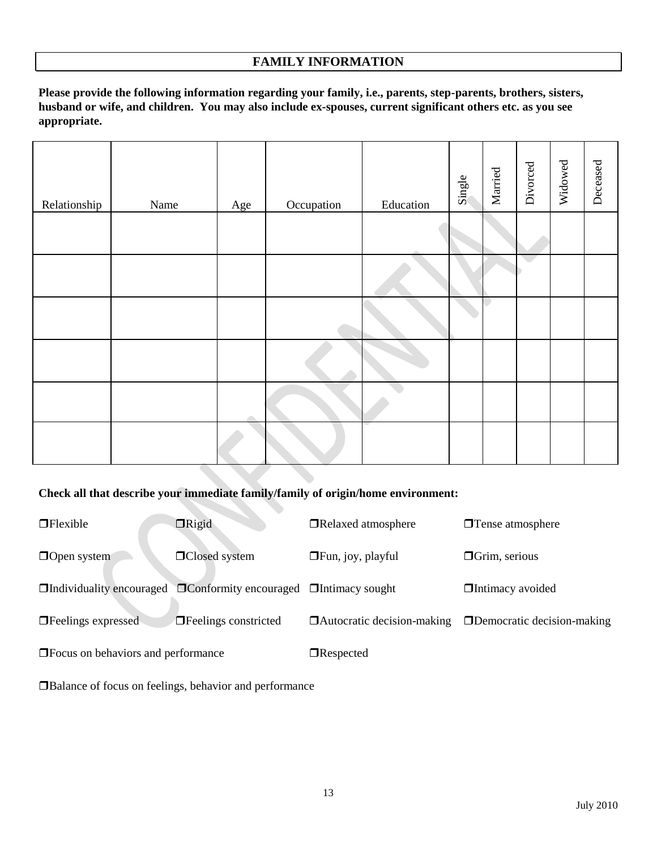### **FAMILY INFORMATION**

**Please provide the following information regarding your family, i.e., parents, step-parents, brothers, sisters, husband or wife, and children. You may also include ex-spouses, current significant others etc. as you see appropriate.**

| Relationship | Name | Age | Occupation | Education | Single | Married | Divorced | Widowed | Deceased |
|--------------|------|-----|------------|-----------|--------|---------|----------|---------|----------|
|              |      |     |            |           |        |         |          |         |          |
|              |      |     |            |           |        |         |          |         |          |
|              |      |     |            |           |        |         |          |         |          |
|              |      |     |            |           |        |         |          |         |          |
|              |      |     |            |           |        |         |          |         |          |
|              |      |     |            |           |        |         |          |         |          |

#### **Check all that describe your immediate family/family of origin/home environment:**

| $\Box$ Flexible                                                                     | $\Box$ Rigid                | □Relaxed atmosphere               | $\Box$ Tense atmosphere           |
|-------------------------------------------------------------------------------------|-----------------------------|-----------------------------------|-----------------------------------|
| $\Box$ Open system                                                                  | $\Box$ Closed system        | $\Box$ Fun, joy, playful          | $\Box$ Grim, serious              |
| $\Box$ Individuality encouraged $\Box$ Conformity encouraged $\Box$ Intimacy sought |                             |                                   | <b>Intimacy avoided</b>           |
| $\Box$ Feelings expressed                                                           | $\Box$ Feelings constricted | $\Box$ Autocratic decision-making | $\Box$ Democratic decision-making |
| $\Box$ Focus on behaviors and performance                                           |                             | $\Box$ Respected                  |                                   |

Balance of focus on feelings, behavior and performance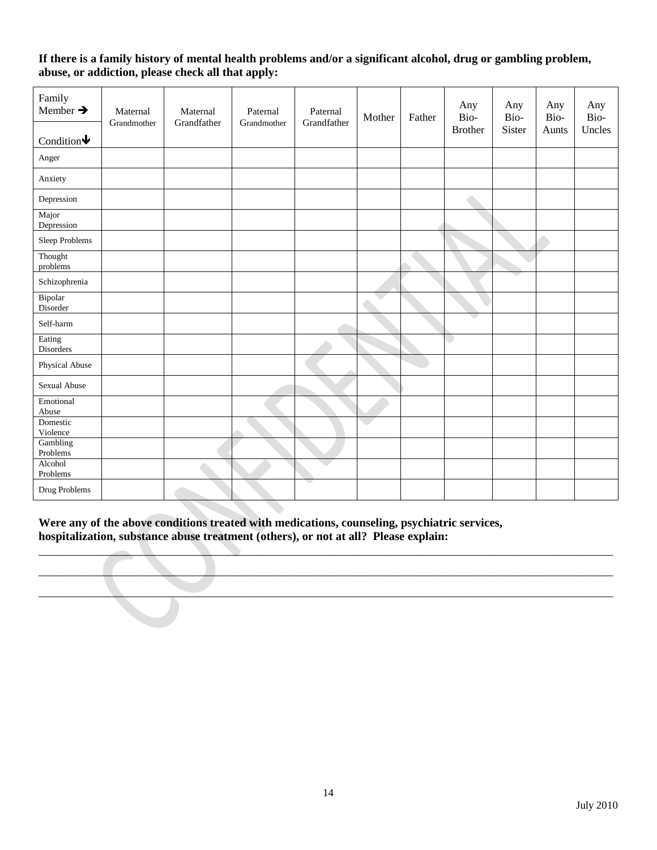#### **If there is a family history of mental health problems and/or a significant alcohol, drug or gambling problem, abuse, or addiction, please check all that apply:**

| Family<br>Member $\rightarrow$<br>Condition $\blacklozenge$ | Maternal<br>Grandmother | Maternal<br>Grandfather | Paternal<br>Grandmother | Paternal<br>Grandfather | Mother | Father | Any<br>Bio-<br><b>Brother</b> | Any<br>Bio-<br>Sister | Any<br>Bio-<br>Aunts | Any<br>Bio-<br>Uncles |
|-------------------------------------------------------------|-------------------------|-------------------------|-------------------------|-------------------------|--------|--------|-------------------------------|-----------------------|----------------------|-----------------------|
| Anger                                                       |                         |                         |                         |                         |        |        |                               |                       |                      |                       |
| Anxiety                                                     |                         |                         |                         |                         |        |        |                               |                       |                      |                       |
| Depression                                                  |                         |                         |                         |                         |        |        |                               |                       |                      |                       |
| Major<br>Depression                                         |                         |                         |                         |                         |        |        |                               |                       |                      |                       |
| Sleep Problems                                              |                         |                         |                         |                         |        |        |                               |                       |                      |                       |
| Thought<br>problems                                         |                         |                         |                         |                         |        |        |                               |                       |                      |                       |
| Schizophrenia                                               |                         |                         |                         |                         |        |        |                               |                       |                      |                       |
| Bipolar<br>Disorder                                         |                         |                         |                         |                         |        |        |                               |                       |                      |                       |
| Self-harm                                                   |                         |                         |                         |                         |        |        |                               |                       |                      |                       |
| Eating<br>Disorders                                         |                         |                         |                         |                         |        |        |                               |                       |                      |                       |
| Physical Abuse                                              |                         |                         |                         |                         |        |        |                               |                       |                      |                       |
| Sexual Abuse                                                |                         |                         |                         |                         |        |        |                               |                       |                      |                       |
| Emotional<br>Abuse                                          |                         |                         |                         |                         |        |        |                               |                       |                      |                       |
| Domestic<br>Violence                                        |                         |                         |                         |                         |        |        |                               |                       |                      |                       |
| Gambling<br>Problems                                        |                         |                         |                         |                         |        |        |                               |                       |                      |                       |
| Alcohol<br>Problems                                         |                         |                         |                         |                         |        |        |                               |                       |                      |                       |
| Drug Problems                                               |                         |                         |                         |                         |        |        |                               |                       |                      |                       |

**Were any of the above conditions treated with medications, counseling, psychiatric services, hospitalization, substance abuse treatment (others), or not at all? Please explain:**

 $\Box$  . The contribution of the contribution of the contribution of the contribution of the contribution of the contribution of the contribution of the contribution of the contribution of the contribution of the contributi \_\_\_\_\_\_\_\_\_\_\_\_\_\_\_\_\_\_\_\_\_\_\_\_\_\_\_\_\_\_\_\_\_\_\_\_\_\_\_\_\_\_\_\_\_\_\_\_\_\_\_\_\_\_\_\_\_\_\_\_\_\_\_\_\_\_\_\_\_\_\_\_\_\_\_\_\_\_\_\_\_\_\_\_\_\_\_\_\_\_\_\_\_\_\_\_\_ \_\_\_\_\_\_\_\_\_\_\_\_\_\_\_\_\_\_\_\_\_\_\_\_\_\_\_\_\_\_\_\_\_\_\_\_\_\_\_\_\_\_\_\_\_\_\_\_\_\_\_\_\_\_\_\_\_\_\_\_\_\_\_\_\_\_\_\_\_\_\_\_\_\_\_\_\_\_\_\_\_\_\_\_\_\_\_\_\_\_\_\_\_\_\_\_\_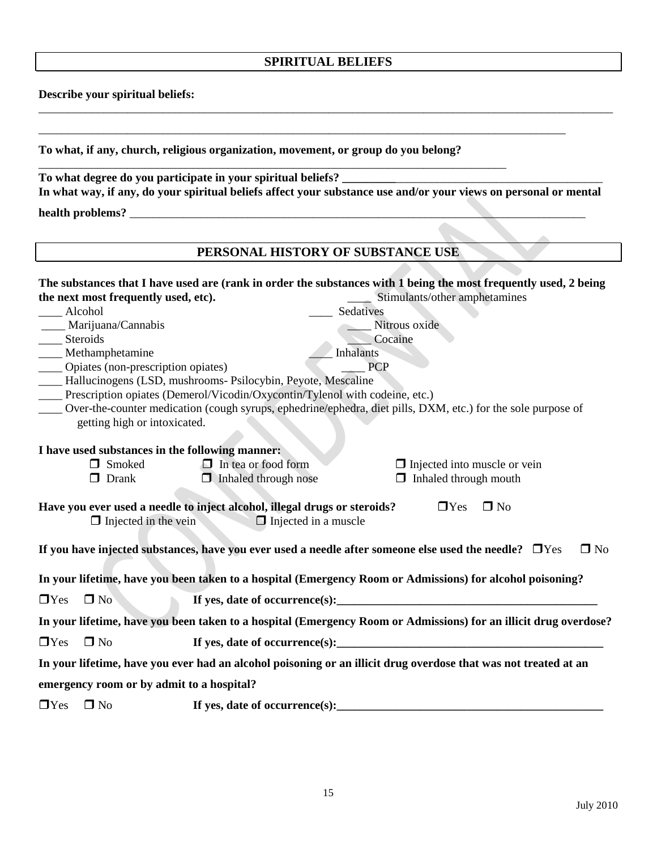#### **SPIRITUAL BELIEFS**

\_\_\_\_\_\_\_\_\_\_\_\_\_\_\_\_\_\_\_\_\_\_\_\_\_\_\_\_\_\_\_\_\_\_\_\_\_\_\_\_\_\_\_\_\_\_\_\_\_\_\_\_\_\_\_\_\_\_\_\_\_\_\_\_\_\_\_\_\_\_\_\_\_\_\_\_\_\_\_\_\_\_\_\_\_\_\_\_\_\_\_\_\_\_\_\_\_

\_\_\_\_\_\_\_\_\_\_\_\_\_\_\_\_\_\_\_\_\_\_\_\_\_\_\_\_\_\_\_\_\_\_\_\_\_\_\_\_\_\_\_\_\_\_\_\_\_\_\_\_\_\_\_\_\_\_\_\_\_\_\_\_\_\_\_\_\_\_\_\_\_\_\_\_\_\_\_\_\_\_\_\_\_\_\_\_\_

**Describe your spiritual beliefs:**

**To what, if any, church, religious organization, movement, or group do you belong?**

| To what degree do you participate in your spiritual beliefs?                                                     |
|------------------------------------------------------------------------------------------------------------------|
| In what way, if any, do your spiritual beliefs affect your substance use and/or your views on personal or mental |
| health problems?                                                                                                 |

### **PERSONAL HISTORY OF SUBSTANCE USE**

|            |                                                 |                                                                                                          |                  | The substances that I have used are (rank in order the substances with 1 being the most frequently used, 2 being                                                                                                                                                                                                                                                               |
|------------|-------------------------------------------------|----------------------------------------------------------------------------------------------------------|------------------|--------------------------------------------------------------------------------------------------------------------------------------------------------------------------------------------------------------------------------------------------------------------------------------------------------------------------------------------------------------------------------|
|            | the next most frequently used, etc).            |                                                                                                          |                  | Stimulants/other amphetamines                                                                                                                                                                                                                                                                                                                                                  |
|            | Alcohol                                         |                                                                                                          | Sedatives        |                                                                                                                                                                                                                                                                                                                                                                                |
|            | ____ Marijuana/Cannabis                         |                                                                                                          |                  | Nitrous oxide                                                                                                                                                                                                                                                                                                                                                                  |
|            | Steroids                                        |                                                                                                          |                  | Cocaine                                                                                                                                                                                                                                                                                                                                                                        |
|            | Methamphetamine                                 |                                                                                                          | <b>Inhalants</b> |                                                                                                                                                                                                                                                                                                                                                                                |
|            | _____ Opiates (non-prescription opiates)        |                                                                                                          | <b>PCP</b>       |                                                                                                                                                                                                                                                                                                                                                                                |
|            |                                                 | - Hallucinogens (LSD, mushrooms- Psilocybin, Peyote, Mescaline                                           |                  |                                                                                                                                                                                                                                                                                                                                                                                |
|            |                                                 | ____ Prescription opiates (Demerol/Vicodin/Oxycontin/Tylenol with codeine, etc.)                         |                  |                                                                                                                                                                                                                                                                                                                                                                                |
|            |                                                 |                                                                                                          |                  | Over-the-counter medication (cough syrups, ephedrine/ephedra, diet pills, DXM, etc.) for the sole purpose of                                                                                                                                                                                                                                                                   |
|            | getting high or intoxicated.                    |                                                                                                          |                  |                                                                                                                                                                                                                                                                                                                                                                                |
|            |                                                 |                                                                                                          |                  |                                                                                                                                                                                                                                                                                                                                                                                |
|            | I have used substances in the following manner: |                                                                                                          |                  |                                                                                                                                                                                                                                                                                                                                                                                |
|            | $\Box$ Smoked                                   | $\Box$ In tea or food form                                                                               |                  | $\Box$ Injected into muscle or vein                                                                                                                                                                                                                                                                                                                                            |
|            | $\Box$ Drank                                    | Inhaled through nose                                                                                     |                  | $\Box$ Inhaled through mouth                                                                                                                                                                                                                                                                                                                                                   |
|            | $\Box$ Injected in the vein                     | Have you ever used a needle to inject alcohol, illegal drugs or steroids?<br>$\Box$ Injected in a muscle |                  | $\Box$ No<br>$\Box$ Yes<br>If you have injected substances, have you ever used a needle after someone else used the needle? $\Box$ Yes<br>$\square$ No                                                                                                                                                                                                                         |
|            |                                                 |                                                                                                          |                  | In your lifetime, have you been taken to a hospital (Emergency Room or Admissions) for alcohol poisoning?                                                                                                                                                                                                                                                                      |
| $\Box$ Yes | $\Box$ No                                       |                                                                                                          |                  | If yes, date of occurrence(s): $\qquad \qquad$ $\qquad \qquad$ $\qquad \qquad$ $\qquad \qquad$ $\qquad \qquad$ $\qquad \qquad$ $\qquad \qquad$ $\qquad \qquad$ $\qquad \qquad$ $\qquad \qquad$ $\qquad \qquad$ $\qquad \qquad$ $\qquad \qquad$ $\qquad \qquad$ $\qquad \qquad$ $\qquad \qquad$ $\qquad \qquad$ $\qquad \qquad$ $\qquad \qquad$ $\qquad \qquad$ $\qquad \qquad$ |
|            |                                                 |                                                                                                          |                  | In your lifetime, have you been taken to a hospital (Emergency Room or Admissions) for an illicit drug overdose?                                                                                                                                                                                                                                                               |
| $\Box$ Yes | $\Box$ No                                       |                                                                                                          |                  | If yes, date of occurrence(s): $\frac{1}{2}$                                                                                                                                                                                                                                                                                                                                   |
|            |                                                 |                                                                                                          |                  | In your lifetime, have you ever had an alcohol poisoning or an illicit drug overdose that was not treated at an                                                                                                                                                                                                                                                                |
|            | emergency room or by admit to a hospital?       |                                                                                                          |                  |                                                                                                                                                                                                                                                                                                                                                                                |
| $\Box$ Yes | $\Box$ No                                       | If yes, date of occurrence(s):                                                                           |                  |                                                                                                                                                                                                                                                                                                                                                                                |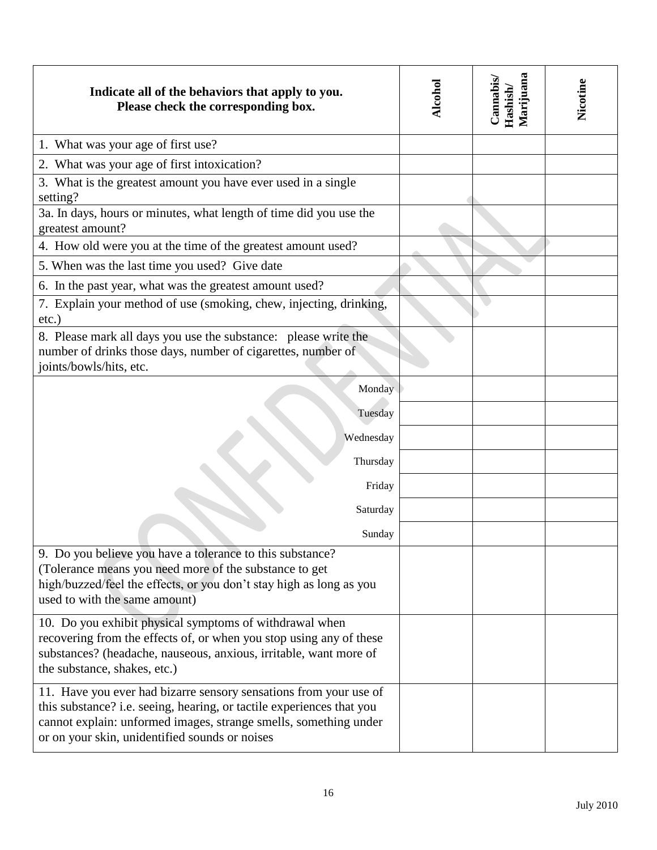| Indicate all of the behaviors that apply to you.<br>Please check the corresponding box.                                                                                                                                                                          | Alcohol | Marijuana<br>Cannabis<br>Hashish | Nicotine |
|------------------------------------------------------------------------------------------------------------------------------------------------------------------------------------------------------------------------------------------------------------------|---------|----------------------------------|----------|
| 1. What was your age of first use?                                                                                                                                                                                                                               |         |                                  |          |
| 2. What was your age of first intoxication?                                                                                                                                                                                                                      |         |                                  |          |
| 3. What is the greatest amount you have ever used in a single<br>setting?                                                                                                                                                                                        |         |                                  |          |
| 3a. In days, hours or minutes, what length of time did you use the<br>greatest amount?                                                                                                                                                                           |         |                                  |          |
| 4. How old were you at the time of the greatest amount used?                                                                                                                                                                                                     |         |                                  |          |
| 5. When was the last time you used? Give date                                                                                                                                                                                                                    |         |                                  |          |
| 6. In the past year, what was the greatest amount used?                                                                                                                                                                                                          |         |                                  |          |
| 7. Explain your method of use (smoking, chew, injecting, drinking,<br>$etc.$ )                                                                                                                                                                                   |         |                                  |          |
| 8. Please mark all days you use the substance: please write the<br>number of drinks those days, number of cigarettes, number of<br>joints/bowls/hits, etc.                                                                                                       |         |                                  |          |
| Monday                                                                                                                                                                                                                                                           |         |                                  |          |
| Tuesday                                                                                                                                                                                                                                                          |         |                                  |          |
| Wednesday                                                                                                                                                                                                                                                        |         |                                  |          |
| Thursday                                                                                                                                                                                                                                                         |         |                                  |          |
| Friday                                                                                                                                                                                                                                                           |         |                                  |          |
| Saturday                                                                                                                                                                                                                                                         |         |                                  |          |
| Sunday                                                                                                                                                                                                                                                           |         |                                  |          |
| 9. Do you believe you have a tolerance to this substance?<br>(Tolerance means you need more of the substance to get<br>high/buzzed/feel the effects, or you don't stay high as long as you<br>used to with the same amount)                                      |         |                                  |          |
| 10. Do you exhibit physical symptoms of withdrawal when<br>recovering from the effects of, or when you stop using any of these<br>substances? (headache, nauseous, anxious, irritable, want more of<br>the substance, shakes, etc.)                              |         |                                  |          |
| 11. Have you ever had bizarre sensory sensations from your use of<br>this substance? i.e. seeing, hearing, or tactile experiences that you<br>cannot explain: unformed images, strange smells, something under<br>or on your skin, unidentified sounds or noises |         |                                  |          |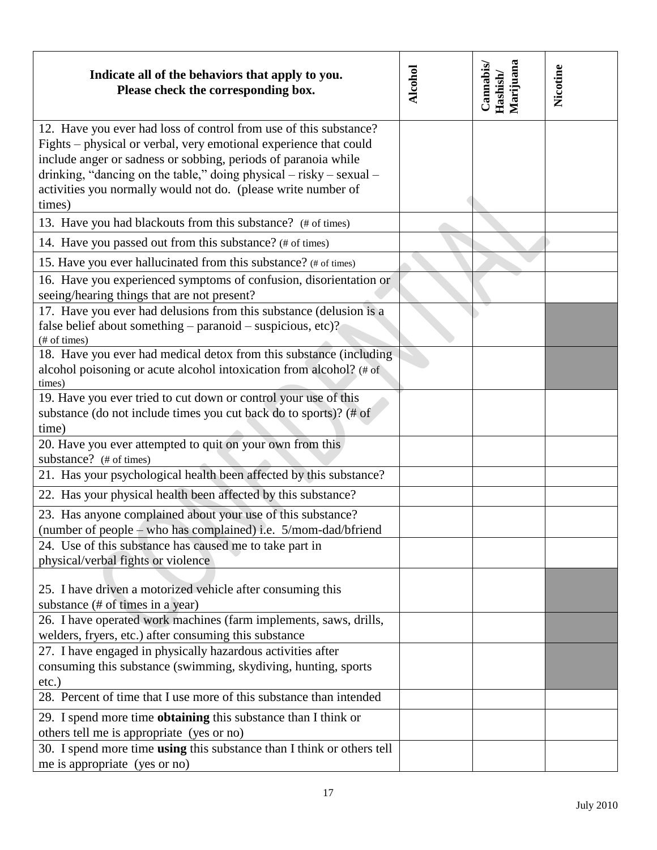| Indicate all of the behaviors that apply to you.<br>Please check the corresponding box.                                                                                                                                                                                                                                                                    | <b>Alcohol</b> | Marijuana<br>Cannabis<br>Hashish/ | Nicotine |
|------------------------------------------------------------------------------------------------------------------------------------------------------------------------------------------------------------------------------------------------------------------------------------------------------------------------------------------------------------|----------------|-----------------------------------|----------|
| 12. Have you ever had loss of control from use of this substance?<br>Fights – physical or verbal, very emotional experience that could<br>include anger or sadness or sobbing, periods of paranoia while<br>drinking, "dancing on the table," doing physical – risky – sexual –<br>activities you normally would not do. (please write number of<br>times) |                |                                   |          |
| 13. Have you had blackouts from this substance? (# of times)                                                                                                                                                                                                                                                                                               |                |                                   |          |
| 14. Have you passed out from this substance? (# of times)                                                                                                                                                                                                                                                                                                  |                |                                   |          |
| 15. Have you ever hallucinated from this substance? (# of times)                                                                                                                                                                                                                                                                                           |                |                                   |          |
| 16. Have you experienced symptoms of confusion, disorientation or<br>seeing/hearing things that are not present?                                                                                                                                                                                                                                           |                |                                   |          |
| 17. Have you ever had delusions from this substance (delusion is a<br>false belief about something - paranoid - suspicious, etc)?<br>(# of times)                                                                                                                                                                                                          |                |                                   |          |
| 18. Have you ever had medical detox from this substance (including<br>alcohol poisoning or acute alcohol intoxication from alcohol? (# of<br>times)                                                                                                                                                                                                        |                |                                   |          |
| 19. Have you ever tried to cut down or control your use of this<br>substance (do not include times you cut back do to sports)? (# of<br>time)                                                                                                                                                                                                              |                |                                   |          |
| 20. Have you ever attempted to quit on your own from this<br>substance? (# of times)                                                                                                                                                                                                                                                                       |                |                                   |          |
| 21. Has your psychological health been affected by this substance?                                                                                                                                                                                                                                                                                         |                |                                   |          |
| 22. Has your physical health been affected by this substance?                                                                                                                                                                                                                                                                                              |                |                                   |          |
| 23. Has anyone complained about your use of this substance?<br>(number of people – who has complained) i.e. 5/mom-dad/bfriend                                                                                                                                                                                                                              |                |                                   |          |
| 24. Use of this substance has caused me to take part in<br>physical/verbal fights or violence                                                                                                                                                                                                                                                              |                |                                   |          |
| 25. I have driven a motorized vehicle after consuming this<br>substance (# of times in a year)                                                                                                                                                                                                                                                             |                |                                   |          |
| 26. I have operated work machines (farm implements, saws, drills,<br>welders, fryers, etc.) after consuming this substance                                                                                                                                                                                                                                 |                |                                   |          |
| 27. I have engaged in physically hazardous activities after<br>consuming this substance (swimming, skydiving, hunting, sports<br>$etc.$ )                                                                                                                                                                                                                  |                |                                   |          |
| 28. Percent of time that I use more of this substance than intended                                                                                                                                                                                                                                                                                        |                |                                   |          |
| 29. I spend more time <b>obtaining</b> this substance than I think or<br>others tell me is appropriate (yes or no)                                                                                                                                                                                                                                         |                |                                   |          |
| 30. I spend more time using this substance than I think or others tell<br>me is appropriate (yes or no)                                                                                                                                                                                                                                                    |                |                                   |          |